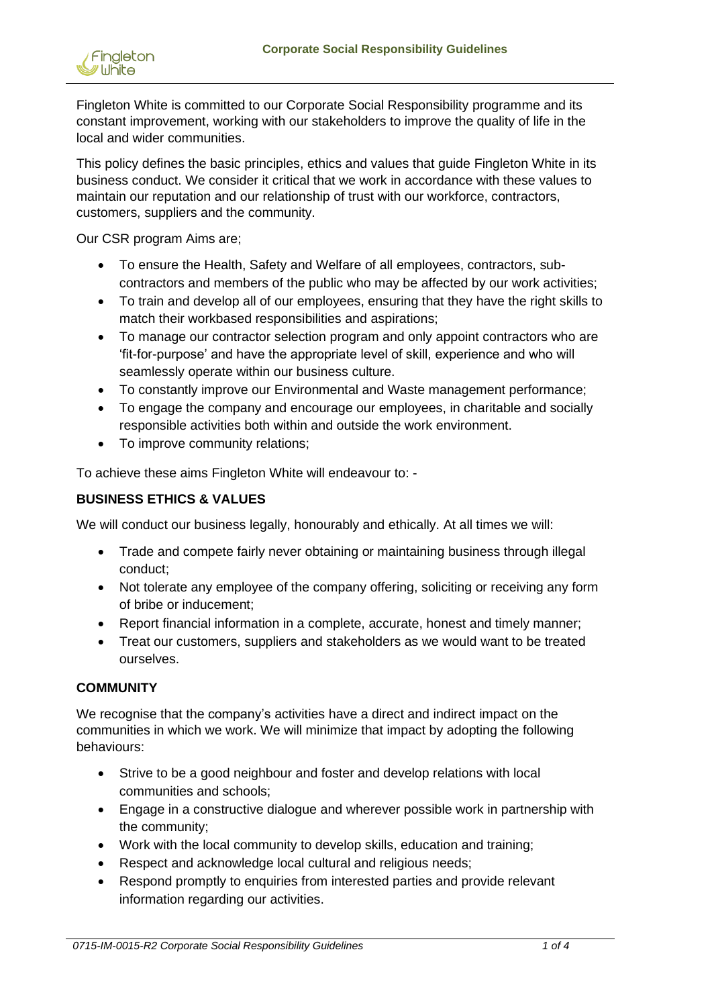

Fingleton White is committed to our Corporate Social Responsibility programme and its constant improvement, working with our stakeholders to improve the quality of life in the local and wider communities.

This policy defines the basic principles, ethics and values that guide Fingleton White in its business conduct. We consider it critical that we work in accordance with these values to maintain our reputation and our relationship of trust with our workforce, contractors, customers, suppliers and the community.

Our CSR program Aims are;

- To ensure the Health, Safety and Welfare of all employees, contractors, subcontractors and members of the public who may be affected by our work activities;
- To train and develop all of our employees, ensuring that they have the right skills to match their workbased responsibilities and aspirations;
- To manage our contractor selection program and only appoint contractors who are 'fit-for-purpose' and have the appropriate level of skill, experience and who will seamlessly operate within our business culture.
- To constantly improve our Environmental and Waste management performance;
- To engage the company and encourage our employees, in charitable and socially responsible activities both within and outside the work environment.
- To improve community relations;

To achieve these aims Fingleton White will endeavour to: -

#### **BUSINESS ETHICS & VALUES**

We will conduct our business legally, honourably and ethically. At all times we will:

- Trade and compete fairly never obtaining or maintaining business through illegal conduct;
- Not tolerate any employee of the company offering, soliciting or receiving any form of bribe or inducement;
- Report financial information in a complete, accurate, honest and timely manner;
- Treat our customers, suppliers and stakeholders as we would want to be treated ourselves.

#### **COMMUNITY**

We recognise that the company's activities have a direct and indirect impact on the communities in which we work. We will minimize that impact by adopting the following behaviours:

- Strive to be a good neighbour and foster and develop relations with local communities and schools;
- Engage in a constructive dialogue and wherever possible work in partnership with the community;
- Work with the local community to develop skills, education and training;
- Respect and acknowledge local cultural and religious needs;
- Respond promptly to enquiries from interested parties and provide relevant information regarding our activities.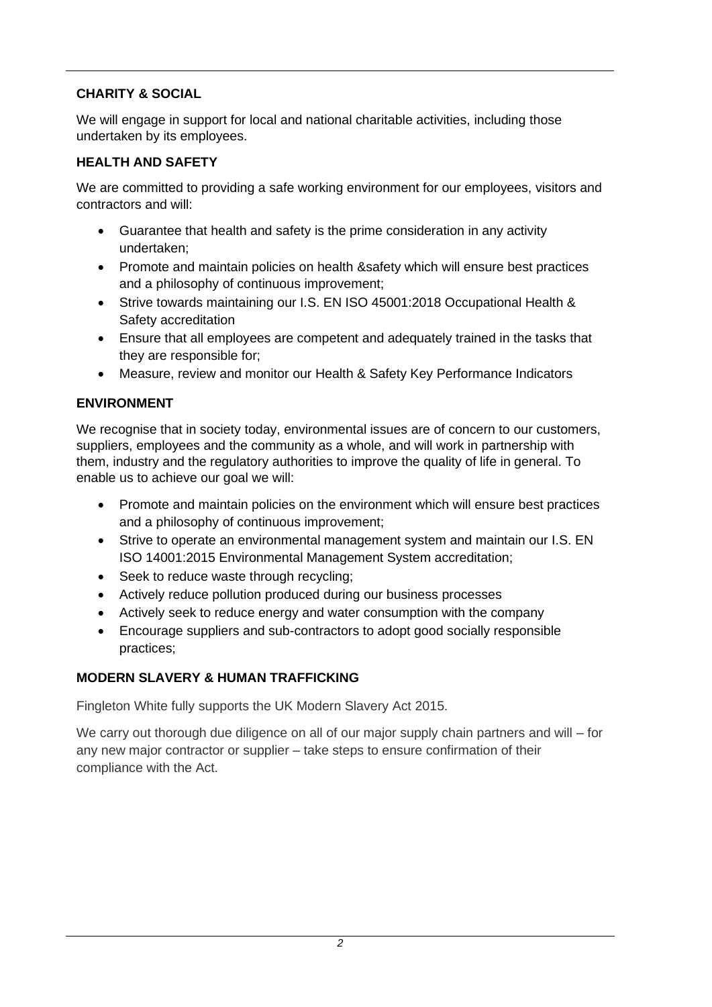## **CHARITY & SOCIAL**

We will engage in support for local and national charitable activities, including those undertaken by its employees.

### **HEALTH AND SAFETY**

We are committed to providing a safe working environment for our employees, visitors and contractors and will:

- Guarantee that health and safety is the prime consideration in any activity undertaken;
- Promote and maintain policies on health &safety which will ensure best practices and a philosophy of continuous improvement;
- Strive towards maintaining our I.S. EN ISO 45001:2018 Occupational Health & Safety accreditation
- Ensure that all employees are competent and adequately trained in the tasks that they are responsible for;
- Measure, review and monitor our Health & Safety Key Performance Indicators

### **ENVIRONMENT**

We recognise that in society today, environmental issues are of concern to our customers, suppliers, employees and the community as a whole, and will work in partnership with them, industry and the regulatory authorities to improve the quality of life in general. To enable us to achieve our goal we will:

- Promote and maintain policies on the environment which will ensure best practices and a philosophy of continuous improvement;
- Strive to operate an environmental management system and maintain our I.S. EN ISO 14001:2015 Environmental Management System accreditation;
- Seek to reduce waste through recycling;
- Actively reduce pollution produced during our business processes
- Actively seek to reduce energy and water consumption with the company
- Encourage suppliers and sub-contractors to adopt good socially responsible practices;

### **MODERN SLAVERY & HUMAN TRAFFICKING**

Fingleton White fully supports the UK Modern Slavery Act 2015.

We carry out thorough due diligence on all of our major supply chain partners and will – for any new major contractor or supplier – take steps to ensure confirmation of their compliance with the Act.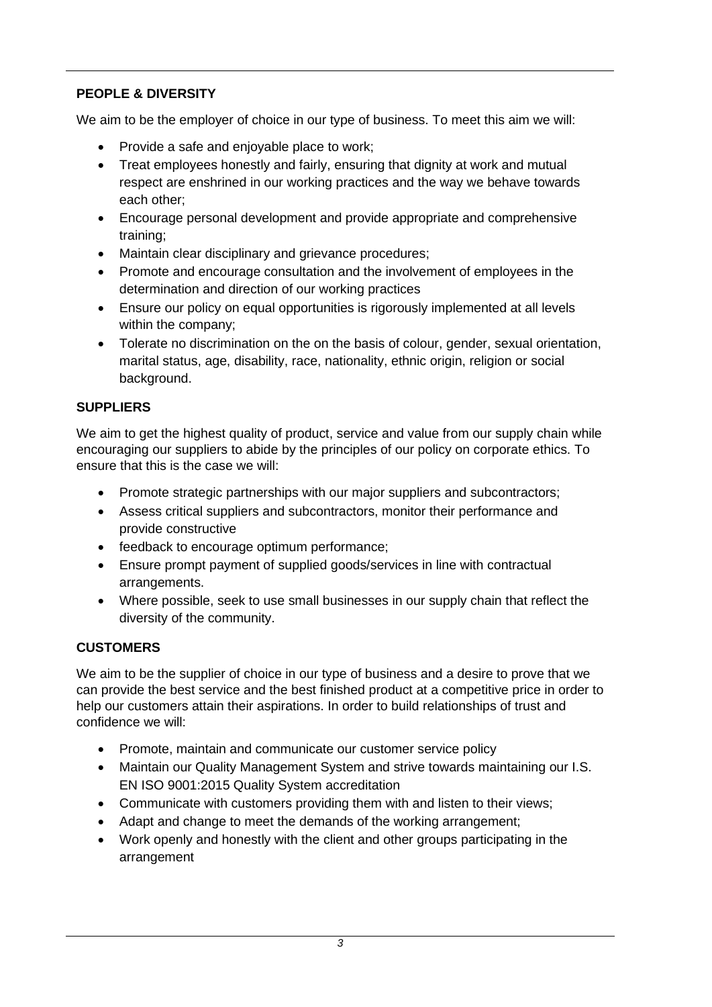# **PEOPLE & DIVERSITY**

We aim to be the employer of choice in our type of business. To meet this aim we will:

- Provide a safe and enjoyable place to work;
- Treat employees honestly and fairly, ensuring that dignity at work and mutual respect are enshrined in our working practices and the way we behave towards each other;
- Encourage personal development and provide appropriate and comprehensive training;
- Maintain clear disciplinary and grievance procedures;
- Promote and encourage consultation and the involvement of employees in the determination and direction of our working practices
- Ensure our policy on equal opportunities is rigorously implemented at all levels within the company;
- Tolerate no discrimination on the on the basis of colour, gender, sexual orientation, marital status, age, disability, race, nationality, ethnic origin, religion or social background.

# **SUPPLIERS**

We aim to get the highest quality of product, service and value from our supply chain while encouraging our suppliers to abide by the principles of our policy on corporate ethics. To ensure that this is the case we will:

- Promote strategic partnerships with our major suppliers and subcontractors;
- Assess critical suppliers and subcontractors, monitor their performance and provide constructive
- feedback to encourage optimum performance;
- Ensure prompt payment of supplied goods/services in line with contractual arrangements.
- Where possible, seek to use small businesses in our supply chain that reflect the diversity of the community.

# **CUSTOMERS**

We aim to be the supplier of choice in our type of business and a desire to prove that we can provide the best service and the best finished product at a competitive price in order to help our customers attain their aspirations. In order to build relationships of trust and confidence we will:

- Promote, maintain and communicate our customer service policy
- Maintain our Quality Management System and strive towards maintaining our I.S. EN ISO 9001:2015 Quality System accreditation
- Communicate with customers providing them with and listen to their views;
- Adapt and change to meet the demands of the working arrangement;
- Work openly and honestly with the client and other groups participating in the arrangement